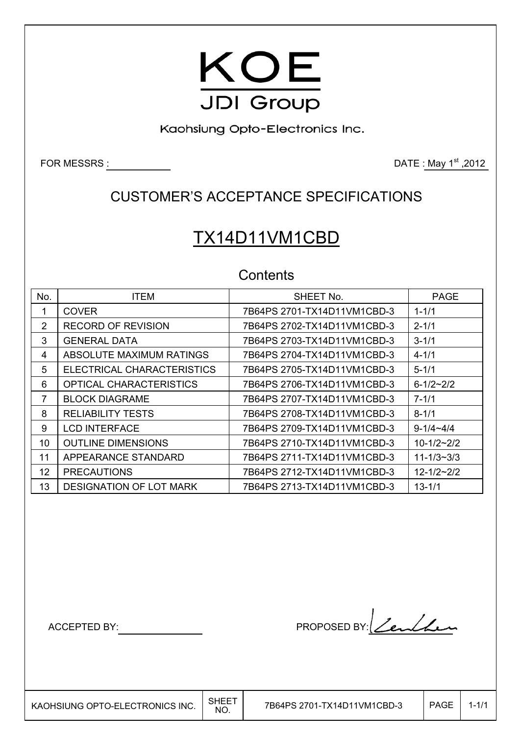

Kaohsiung Opto-Electronics Inc.

FOR MESSRS : DATE : May 1<sup>st</sup> ,2012

## CUSTOMER'S ACCEPTANCE SPECIFICATIONS

# TX14D11VM1CBD

## **Contents**

| No.             | <b>ITEM</b>                    | SHEET No.                   | <b>PAGE</b>      |
|-----------------|--------------------------------|-----------------------------|------------------|
|                 | <b>COVER</b>                   | 7B64PS 2701-TX14D11VM1CBD-3 | $1 - 1/1$        |
| 2               | RECORD OF REVISION             | 7B64PS 2702-TX14D11VM1CBD-3 | $2 - 1/1$        |
| 3               | <b>GENERAL DATA</b>            | 7B64PS 2703-TX14D11VM1CBD-3 | $3 - 1/1$        |
| 4               | ABSOLUTE MAXIMUM RATINGS       | 7B64PS 2704-TX14D11VM1CBD-3 | $4 - 1/1$        |
| 5               | ELECTRICAL CHARACTERISTICS     | 7B64PS 2705-TX14D11VM1CBD-3 | $5 - 1/1$        |
| 6               | <b>OPTICAL CHARACTERISTICS</b> | 7B64PS 2706-TX14D11VM1CBD-3 | $6 - 1/2 - 2/2$  |
| 7               | <b>BLOCK DIAGRAME</b>          | 7B64PS 2707-TX14D11VM1CBD-3 | $7 - 1/1$        |
| 8               | <b>RELIABILITY TESTS</b>       | 7B64PS 2708-TX14D11VM1CBD-3 | $8 - 1/1$        |
| 9               | <b>LCD INTERFACE</b>           | 7B64PS 2709-TX14D11VM1CBD-3 | $9 - 1/4 - 4/4$  |
| 10              | <b>OUTLINE DIMENSIONS</b>      | 7B64PS 2710-TX14D11VM1CBD-3 | $10 - 1/2 - 2/2$ |
| 11              | APPEARANCE STANDARD            | 7B64PS 2711-TX14D11VM1CBD-3 | $11 - 1/3 - 3/3$ |
| 12 <sup>°</sup> | <b>PRECAUTIONS</b>             | 7B64PS 2712-TX14D11VM1CBD-3 | $12 - 1/2 - 2/2$ |
| 13              | <b>DESIGNATION OF LOT MARK</b> | 7B64PS 2713-TX14D11VM1CBD-3 | $13 - 1/1$       |

ACCEPTED BY: PROPOSED BY: <u>Centhur</u>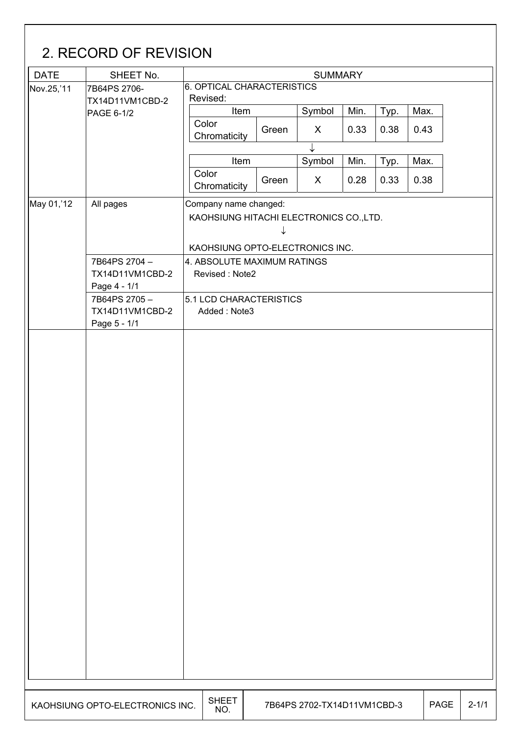| <b>DATE</b> | SHEET No.                       |                                               |                                                                       | <b>SUMMARY</b>              |      |      |             |  |  |  |  |  |  |
|-------------|---------------------------------|-----------------------------------------------|-----------------------------------------------------------------------|-----------------------------|------|------|-------------|--|--|--|--|--|--|
| Nov.25,'11  | 7B64PS 2706-                    | 6. OPTICAL CHARACTERISTICS                    |                                                                       |                             |      |      |             |  |  |  |  |  |  |
|             | TX14D11VM1CBD-2                 | Revised:                                      |                                                                       |                             |      |      |             |  |  |  |  |  |  |
|             | PAGE 6-1/2                      | Item                                          |                                                                       | Symbol                      | Min. | Typ. | Max.        |  |  |  |  |  |  |
|             |                                 | Color<br>Chromaticity                         | Green                                                                 | X                           | 0.33 | 0.38 | 0.43        |  |  |  |  |  |  |
|             |                                 | Item                                          |                                                                       | ↓                           | Min. |      | Max.        |  |  |  |  |  |  |
|             |                                 | Color                                         |                                                                       | Symbol                      |      | Typ. |             |  |  |  |  |  |  |
|             |                                 | Chromaticity                                  | Green                                                                 | X                           | 0.28 | 0.33 | 0.38        |  |  |  |  |  |  |
| May 01,'12  | All pages                       |                                               | Company name changed:<br>KAOHSIUNG HITACHI ELECTRONICS CO., LTD.<br>↓ |                             |      |      |             |  |  |  |  |  |  |
|             |                                 | KAOHSIUNG OPTO-ELECTRONICS INC.               |                                                                       |                             |      |      |             |  |  |  |  |  |  |
|             | 7B64PS 2704-<br>TX14D11VM1CBD-2 | 4. ABSOLUTE MAXIMUM RATINGS<br>Revised: Note2 |                                                                       |                             |      |      |             |  |  |  |  |  |  |
|             | Page 4 - 1/1<br>7B64PS 2705-    | 5.1 LCD CHARACTERISTICS                       |                                                                       |                             |      |      |             |  |  |  |  |  |  |
|             | TX14D11VM1CBD-2<br>Page 5 - 1/1 | Added: Note3                                  |                                                                       |                             |      |      |             |  |  |  |  |  |  |
|             |                                 |                                               |                                                                       |                             |      |      |             |  |  |  |  |  |  |
|             |                                 |                                               |                                                                       |                             |      |      |             |  |  |  |  |  |  |
|             | KAOHSIUNG OPTO-ELECTRONICS INC. | <b>SHEET</b><br>NO.                           |                                                                       | 7B64PS 2702-TX14D11VM1CBD-3 |      |      | <b>PAGE</b> |  |  |  |  |  |  |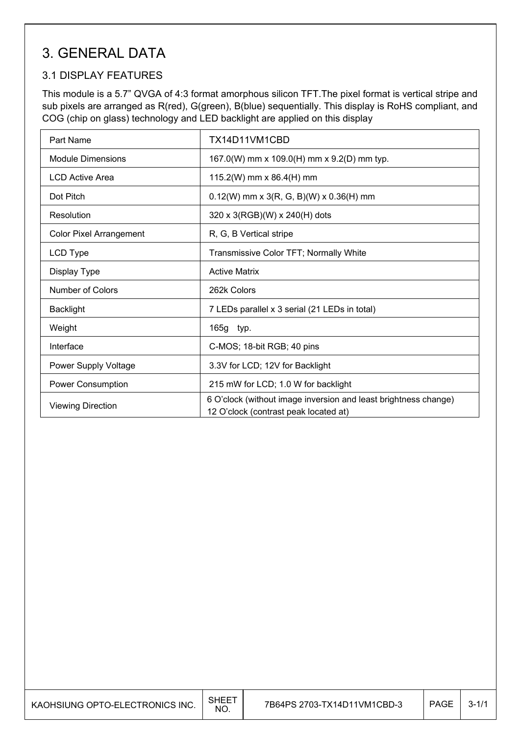## 3. GENERAL DATA

### 3.1 DISPLAY FEATURES

 $\mathsf{I}$ 

This module is a 5.7" QVGA of 4:3 format amorphous silicon TFT.The pixel format is vertical stripe and sub pixels are arranged as R(red), G(green), B(blue) sequentially. This display is RoHS compliant, and COG (chip on glass) technology and LED backlight are applied on this display

| Part Name                      | TX14D11VM1CBD                                                                                            |
|--------------------------------|----------------------------------------------------------------------------------------------------------|
| Module Dimensions              | 167.0(W) mm x 109.0(H) mm x 9.2(D) mm typ.                                                               |
| <b>LCD Active Area</b>         | 115.2(W) mm x 86.4(H) mm                                                                                 |
| Dot Pitch                      | $0.12(W)$ mm x 3(R, G, B)(W) x 0.36(H) mm                                                                |
| Resolution                     | 320 x 3(RGB)(W) x 240(H) dots                                                                            |
| <b>Color Pixel Arrangement</b> | R, G, B Vertical stripe                                                                                  |
| LCD Type                       | Transmissive Color TFT; Normally White                                                                   |
| Display Type                   | <b>Active Matrix</b>                                                                                     |
| <b>Number of Colors</b>        | 262k Colors                                                                                              |
| <b>Backlight</b>               | 7 LEDs parallel x 3 serial (21 LEDs in total)                                                            |
| Weight                         | 165g typ.                                                                                                |
| Interface                      | C-MOS; 18-bit RGB; 40 pins                                                                               |
| Power Supply Voltage           | 3.3V for LCD; 12V for Backlight                                                                          |
| Power Consumption              | 215 mW for LCD; 1.0 W for backlight                                                                      |
| <b>Viewing Direction</b>       | 6 O'clock (without image inversion and least brightness change)<br>12 O'clock (contrast peak located at) |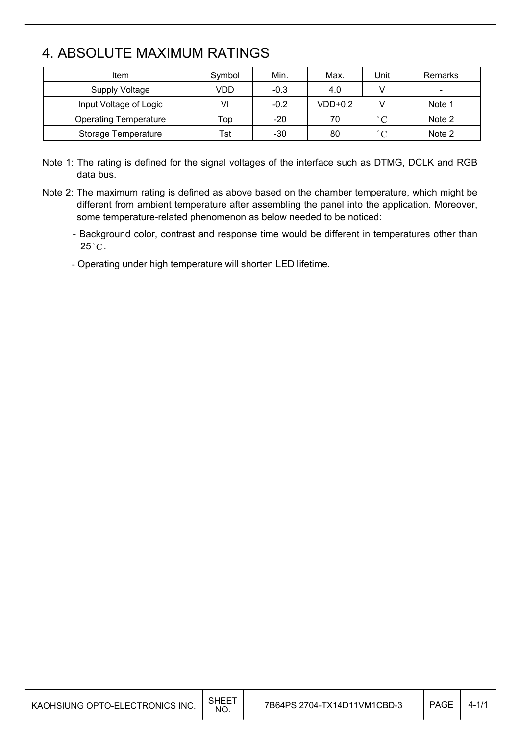## 4. ABSOLUTE MAXIMUM RATINGS

 $\mathsf{I}$ 

| Item                         | Symbol | Min.   | Max.      | Jnit              | Remarks                  |
|------------------------------|--------|--------|-----------|-------------------|--------------------------|
| Supply Voltage               | VDD    | $-0.3$ | 4.0       |                   | $\overline{\phantom{0}}$ |
| Input Voltage of Logic       | VI     | $-0.2$ | $VDD+0.2$ |                   | Note 1                   |
| <b>Operating Temperature</b> | Top    | $-20$  | 70        | $^{\circ}$ C      | Note 2                   |
| Storage Temperature          | Tst    | -30    | 80        | $^{\circ}$ $\cap$ | Note 2                   |

Note 1: The rating is defined for the signal voltages of the interface such as DTMG, DCLK and RGB data bus.

Note 2: The maximum rating is defined as above based on the chamber temperature, which might be different from ambient temperature after assembling the panel into the application. Moreover, some temperature-related phenomenon as below needed to be noticed:

- Background color, contrast and response time would be different in temperatures other than  $25^{\circ}$ C.

- Operating under high temperature will shorten LED lifetime.

| KAOHSIUNG OPTO-ELECTRONICS INC. | SHEE <sup>.</sup><br><b>NO</b> | 7B64PS 2704-TX14D11VM1CBD-3 | <b>PAGE</b> | 4-1/1 |
|---------------------------------|--------------------------------|-----------------------------|-------------|-------|
|---------------------------------|--------------------------------|-----------------------------|-------------|-------|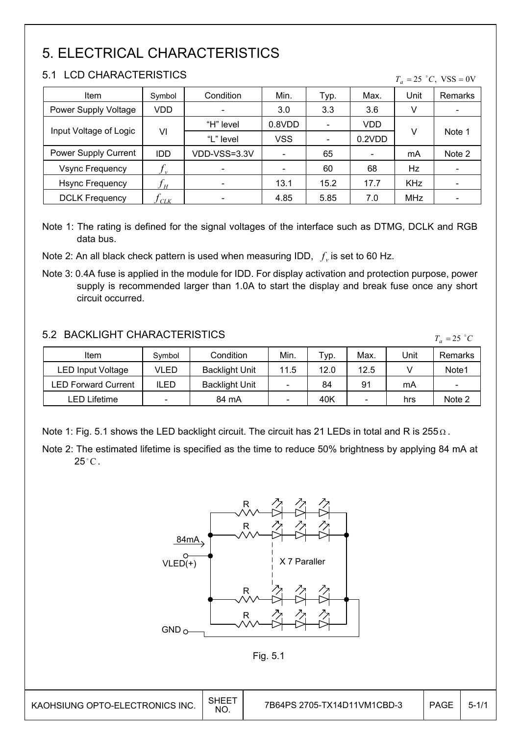## 5. ELECTRICAL CHARACTERISTICS

### 5.1 LCD CHARACTERISTICS

| 3. L<br>LUD UNARAUTERISTIUS |                                |                                       |              |                |        |            | $T_a = 25$ °C, VSS = 0V |  |
|-----------------------------|--------------------------------|---------------------------------------|--------------|----------------|--------|------------|-------------------------|--|
| Item                        | Symbol                         | Condition                             | Min.<br>Typ. |                | Max.   | Unit       | <b>Remarks</b>          |  |
| Power Supply Voltage        | VDD                            |                                       | 3.0          | 3.3            | 3.6    | v          |                         |  |
|                             |                                | "H" level<br>0.8VDD<br>$\blacksquare$ |              |                | VDD    |            |                         |  |
| Input Voltage of Logic      | VI                             | "L" level                             | <b>VSS</b>   | $\blacksquare$ | 0.2VDD | v          | Note 1                  |  |
| Power Supply Current        | <b>IDD</b>                     | VDD-VSS=3.3V                          |              | 65             |        | mA         | Note 2                  |  |
| <b>Vsync Frequency</b>      | $f_{\rm \scriptscriptstyle v}$ | $\overline{\phantom{a}}$              |              | 60             | 68     | Hz         |                         |  |
| <b>Hsync Frequency</b>      | Ĵн                             | $\blacksquare$                        | 13.1         | 15.2           | 17.7   | <b>KHz</b> |                         |  |
| <b>DCLK Frequency</b>       | CLK                            |                                       | 4.85         | 5.85           | 7.0    | <b>MHz</b> |                         |  |

Note 1: The rating is defined for the signal voltages of the interface such as DTMG, DCLK and RGB data bus.

Note 2: An all black check pattern is used when measuring IDD,  $f_v$  is set to 60 Hz.

Note 3: 0.4A fuse is applied in the module for IDD. For display activation and protection purpose, power supply is recommended larger than 1.0A to start the display and break fuse once any short circuit occurred.

### 5.2 BACKLIGHT CHARACTERISTICS

Item  $\vert$  Symbol | Condition | Min. | Typ. | Max. | Unit | Remarks LED Input Voltage | VLED | Backlight Unit | 11.5 | 12.0 | 12.5 | V | Note1 LED Forward Current | ILED | Backlight Unit |  $-$  | 84 | 91 | mA |  $-$ LED Lifetime - 84 mA - 40K - hrs Note 2

Note 1: Fig. 5.1 shows the LED backlight circuit. The circuit has 21 LEDs in total and R is 255  $\Omega$ .

Note 2: The estimated lifetime is specified as the time to reduce 50% brightness by applying 84 mA at  $25^{\circ}$ C.





 $\overline{\phantom{a}}$ 

 $T_a = 25$   $\degree$ C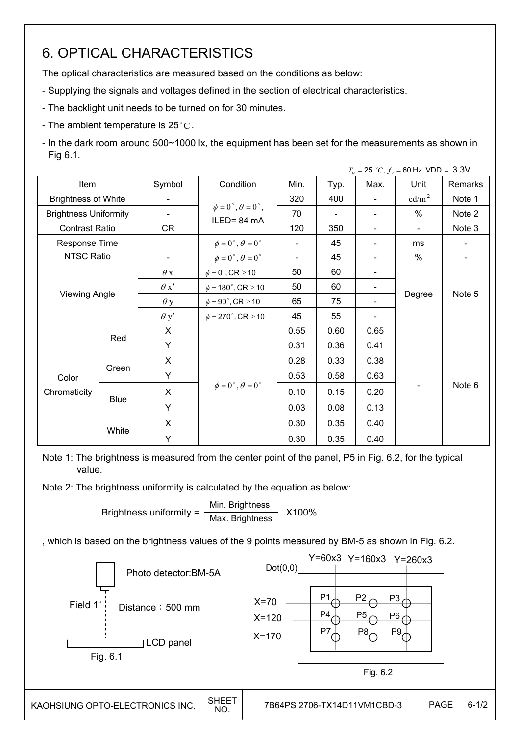## 6. OPTICAL CHARACTERISTICS

The optical characteristics are measured based on the conditions as below:

- Supplying the signals and voltages defined in the section of electrical characteristics.
- The backlight unit needs to be turned on for 30 minutes.
- The ambient temperature is  $25^{\circ}$ C.

- In the dark room around 500~1000 lx, the equipment has been set for the measurements as shown in Fig 6.1.

|                              |                      |                          |                                          |                |      |                              | $T_a = 25 °C, f_v = 60$ Hz, VDD = 3.3V |                |  |
|------------------------------|----------------------|--------------------------|------------------------------------------|----------------|------|------------------------------|----------------------------------------|----------------|--|
| Item                         |                      | Symbol                   | Condition                                | Min.           | Typ. | Max.                         | Unit                                   | Remarks        |  |
| <b>Brightness of White</b>   |                      | $\blacksquare$           |                                          | 320            | 400  | $\qquad \qquad \blacksquare$ | cd/m <sup>2</sup>                      | Note 1         |  |
| <b>Brightness Uniformity</b> |                      | $\blacksquare$           | $\phi = 0^{\circ}, \theta = 0^{\circ}$ , | 70             |      | $\overline{\phantom{a}}$     | $\%$                                   | Note 2         |  |
| <b>Contrast Ratio</b>        |                      | CR                       | ILED=84 mA                               | 120            | 350  | $\overline{\phantom{0}}$     | $\overline{\phantom{0}}$               | Note 3         |  |
| Response Time                |                      |                          | $\phi=0^\circ$ , $\theta=0^\circ$        | ÷.             | 45   | $\qquad \qquad \blacksquare$ | ms                                     |                |  |
| NTSC Ratio                   |                      | $\overline{\phantom{a}}$ | $\phi = 0^\circ$ , $\theta = 0^\circ$    | $\blacksquare$ | 45   | -                            | %                                      | $\blacksquare$ |  |
|                              | $\theta$ x           |                          | $\phi = 0^\circ$ , CR $\geq 10$          | 50             | 60   |                              |                                        |                |  |
|                              |                      | $\theta x'$              | $\phi = 180^\circ$ , CR $\geq 10$        | 50             | 60   |                              |                                        |                |  |
|                              | <b>Viewing Angle</b> |                          | $\phi = 90^{\circ}$ , CR $\geq 10$       | 65             | 75   |                              | Degree                                 | Note 5         |  |
|                              |                      | $\theta$ y'              | $\phi = 270^{\circ}$ , CR $\geq 10$      | 45             | 55   |                              |                                        |                |  |
|                              |                      | X                        |                                          | 0.55           | 0.60 | 0.65                         |                                        |                |  |
|                              | Red                  | Y                        |                                          | 0.31           | 0.36 | 0.41                         |                                        |                |  |
|                              |                      | X                        |                                          | 0.28           | 0.33 | 0.38                         |                                        |                |  |
| Color                        | Green                | Y                        |                                          | 0.53           | 0.58 | 0.63                         |                                        |                |  |
| Chromaticity                 |                      | X                        | $\phi = 0^{\circ}, \theta = 0^{\circ}$   | 0.10           | 0.15 | 0.20                         |                                        | Note 6         |  |
|                              | <b>Blue</b>          | Y                        |                                          | 0.03           | 0.08 | 0.13                         |                                        |                |  |
|                              |                      | $\mathsf{X}$             |                                          | 0.30           | 0.35 | 0.40                         |                                        |                |  |
|                              | White                | Υ                        |                                          | 0.30           | 0.35 | 0.40                         |                                        |                |  |

Note 1: The brightness is measured from the center point of the panel, P5 in Fig. 6.2, for the typical value.

Note 2: The brightness uniformity is calculated by the equation as below:

Brightness uniformity =  $\frac{\text{Min.}_{\text{Br}}}{\text{Min.}_{\text{B}}}\times 100\%$ Max. Brightness

, which is based on the brightness values of the 9 points measured by BM-5 as shown in Fig. 6.2.

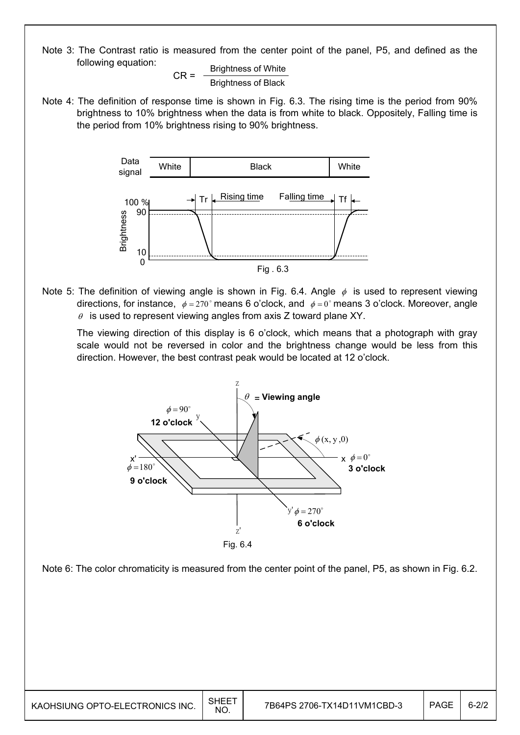Note 3: The Contrast ratio is measured from the center point of the panel, P5, and defined as the following equation:

 $CR =$  Brightness of White Brightness of Black

Note 4: The definition of response time is shown in Fig. 6.3. The rising time is the period from 90% brightness to 10% brightness when the data is from white to black. Oppositely, Falling time is the period from 10% brightness rising to 90% brightness.



Note 5: The definition of viewing angle is shown in Fig. 6.4. Angle  $\phi$  is used to represent viewing directions, for instance,  $\phi = 270^\circ$  means 6 o'clock, and  $\phi = 0^\circ$  means 3 o'clock. Moreover, angle  $\theta$  is used to represent viewing angles from axis Z toward plane XY.

 The viewing direction of this display is 6 o'clock, which means that a photograph with gray scale would not be reversed in color and the brightness change would be less from this direction. However, the best contrast peak would be located at 12 o'clock.



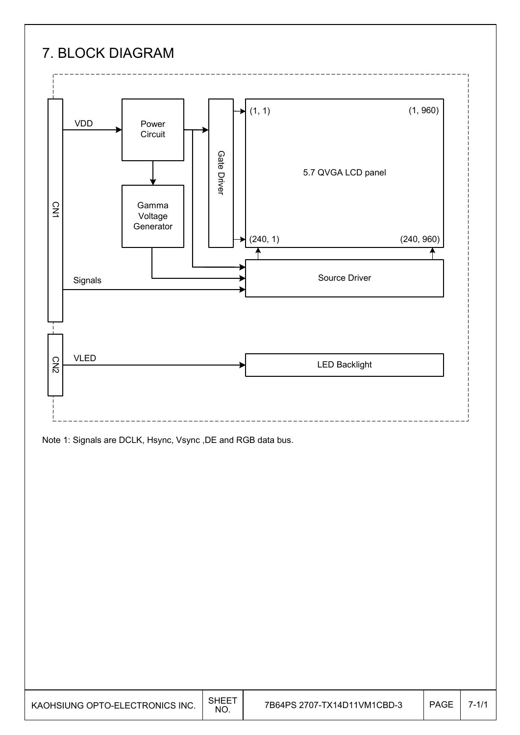## 7. BLOCK DIAGRAM



Note 1: Signals are DCLK, Hsync, Vsync ,DE and RGB data bus.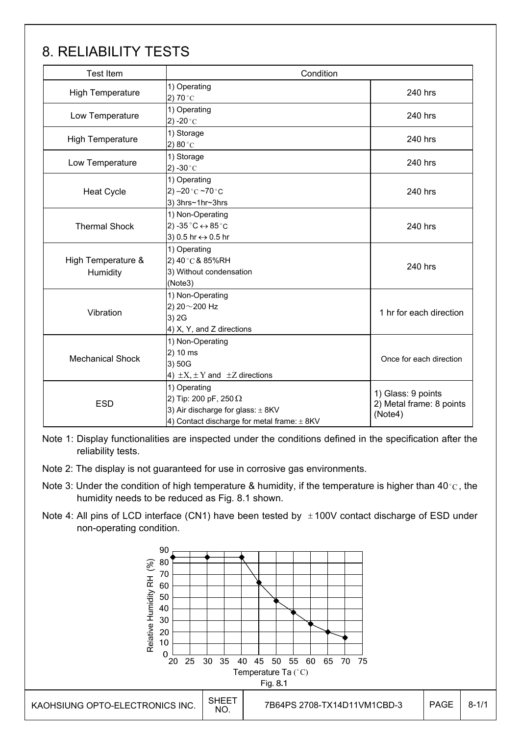## 8. RELIABILITY TESTS

| <b>Test Item</b>               | Condition                                                                                                                                |                                                           |  |  |  |  |  |  |
|--------------------------------|------------------------------------------------------------------------------------------------------------------------------------------|-----------------------------------------------------------|--|--|--|--|--|--|
| <b>High Temperature</b>        | 1) Operating<br>2) 70 $^{\circ}$ C                                                                                                       | 240 hrs                                                   |  |  |  |  |  |  |
| Low Temperature                | 1) Operating<br>2) -20 $^{\circ}$ C                                                                                                      | 240 hrs                                                   |  |  |  |  |  |  |
| <b>High Temperature</b>        | 1) Storage<br>2) 80 $^{\circ}$ C                                                                                                         | 240 hrs                                                   |  |  |  |  |  |  |
| Low Temperature                | 1) Storage<br>2) -30 $^{\circ}$ C                                                                                                        | 240 hrs                                                   |  |  |  |  |  |  |
| <b>Heat Cycle</b>              | 1) Operating<br>2) $-20$ °C $-70$ °C<br>3) 3hrs~1hr~3hrs                                                                                 | 240 hrs                                                   |  |  |  |  |  |  |
| <b>Thermal Shock</b>           | 1) Non-Operating<br>2) -35 $^{\circ}$ C $\leftrightarrow$ 85 $^{\circ}$ C<br>3) 0.5 hr ↔ 0.5 hr                                          | 240 hrs                                                   |  |  |  |  |  |  |
| High Temperature &<br>Humidity | 1) Operating<br>2) 40°C & 85%RH<br>3) Without condensation<br>(Note3)                                                                    | 240 hrs                                                   |  |  |  |  |  |  |
| Vibration                      | 1) Non-Operating<br>2) 20~200 Hz<br>3) 2G<br>4) X, Y, and Z directions                                                                   | 1 hr for each direction                                   |  |  |  |  |  |  |
| <b>Mechanical Shock</b>        | 1) Non-Operating<br>2) 10 ms<br>3) 50G<br>4) $\pm X$ , $\pm Y$ and $\pm Z$ directions                                                    | Once for each direction                                   |  |  |  |  |  |  |
| <b>ESD</b>                     | 1) Operating<br>2) Tip: 200 pF, 250 $\Omega$<br>3) Air discharge for glass: $\pm$ 8KV<br>4) Contact discharge for metal frame: $\pm$ 8KV | 1) Glass: 9 points<br>2) Metal frame: 8 points<br>(Note4) |  |  |  |  |  |  |

Note 1: Display functionalities are inspected under the conditions defined in the specification after the reliability tests.

- Note 2: The display is not guaranteed for use in corrosive gas environments.
- Note 3: Under the condition of high temperature & humidity, if the temperature is higher than 40 °C, the humidity needs to be reduced as Fig. 8.1 shown.
- Note 4: All pins of LCD interface (CN1) have been tested by  $\pm 100V$  contact discharge of ESD under non-operating condition.

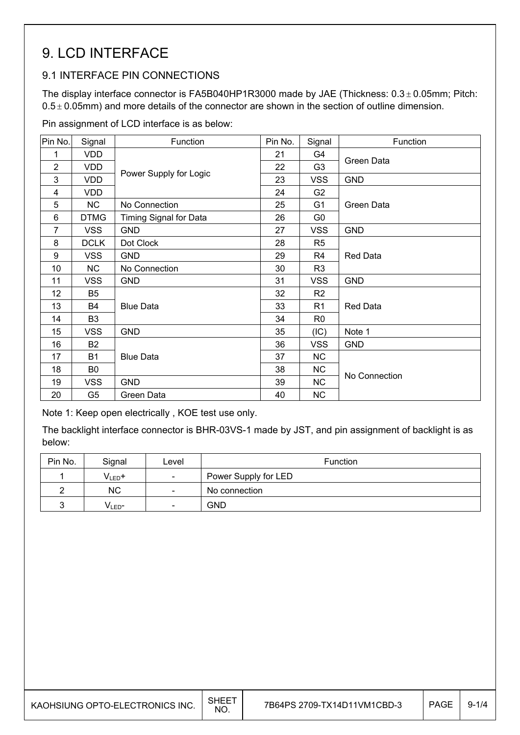## 9. LCD INTERFACE

### 9.1 INTERFACE PIN CONNECTIONS

The display interface connector is FA5B040HP1R3000 made by JAE (Thickness:  $0.3 \pm 0.05$ mm; Pitch:  $0.5 \pm 0.05$ mm) and more details of the connector are shown in the section of outline dimension.

Pin assignment of LCD interface is as below:

| Pin No.        | Signal         | Function                      | Pin No. | Signal         | Function      |
|----------------|----------------|-------------------------------|---------|----------------|---------------|
| 1              | <b>VDD</b>     |                               | 21      | G4             |               |
| $\overline{2}$ | <b>VDD</b>     |                               | 22      | G <sub>3</sub> | Green Data    |
| 3              | <b>VDD</b>     | Power Supply for Logic        | 23      | <b>VSS</b>     | <b>GND</b>    |
| 4              | <b>VDD</b>     |                               | 24      | G <sub>2</sub> |               |
| 5              | <b>NC</b>      | No Connection                 | 25      | G <sub>1</sub> | Green Data    |
| 6              | <b>DTMG</b>    | <b>Timing Signal for Data</b> | 26      | G <sub>0</sub> |               |
| $\overline{7}$ | <b>VSS</b>     | <b>GND</b>                    | 27      | <b>VSS</b>     | <b>GND</b>    |
| 8              | <b>DCLK</b>    | Dot Clock                     | 28      | R <sub>5</sub> |               |
| 9              | <b>VSS</b>     | <b>GND</b>                    | 29      | R <sub>4</sub> | Red Data      |
| 10             | <b>NC</b>      | No Connection                 | 30      | R <sub>3</sub> |               |
| 11             | <b>VSS</b>     | <b>GND</b>                    | 31      | <b>VSS</b>     | <b>GND</b>    |
| 12             | B <sub>5</sub> |                               | 32      | R <sub>2</sub> |               |
| 13             | B4             | <b>Blue Data</b>              | 33      | R <sub>1</sub> | Red Data      |
| 14             | B <sub>3</sub> |                               | 34      | R <sub>0</sub> |               |
| 15             | <b>VSS</b>     | <b>GND</b>                    | 35      | (IC)           | Note 1        |
| 16             | <b>B2</b>      |                               | 36      | <b>VSS</b>     | <b>GND</b>    |
| 17             | <b>B1</b>      | <b>Blue Data</b>              | 37      | NC             |               |
| 18             | B <sub>0</sub> |                               | 38      | <b>NC</b>      |               |
| 19             | <b>VSS</b>     | <b>GND</b>                    | 39      | <b>NC</b>      | No Connection |
| 20             | G <sub>5</sub> | Green Data                    | 40      | <b>NC</b>      |               |

Note 1: Keep open electrically , KOE test use only.

The backlight interface connector is BHR-03VS-1 made by JST, and pin assignment of backlight is as below:

| Pin No. | Signal             | Level                    | <b>Function</b>      |
|---------|--------------------|--------------------------|----------------------|
|         | $V_{LED}$ +        | $\overline{\phantom{a}}$ | Power Supply for LED |
|         | <b>NC</b>          | $\sim$                   | No connection        |
|         | V <sub>LED</sub> - | $\overline{\phantom{0}}$ | <b>GND</b>           |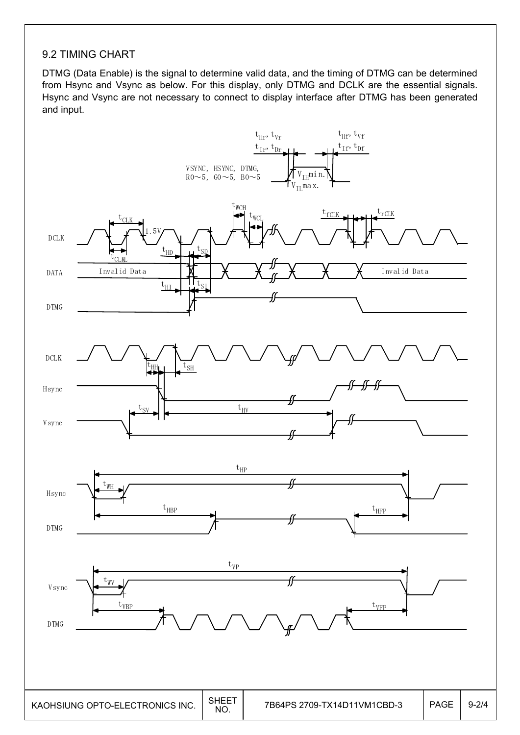### 9.2 TIMING CHART

DTMG (Data Enable) is the signal to determine valid data, and the timing of DTMG can be determined from Hsync and Vsync as below. For this display, only DTMG and DCLK are the essential signals. Hsync and Vsync are not necessary to connect to display interface after DTMG has been generated and input.

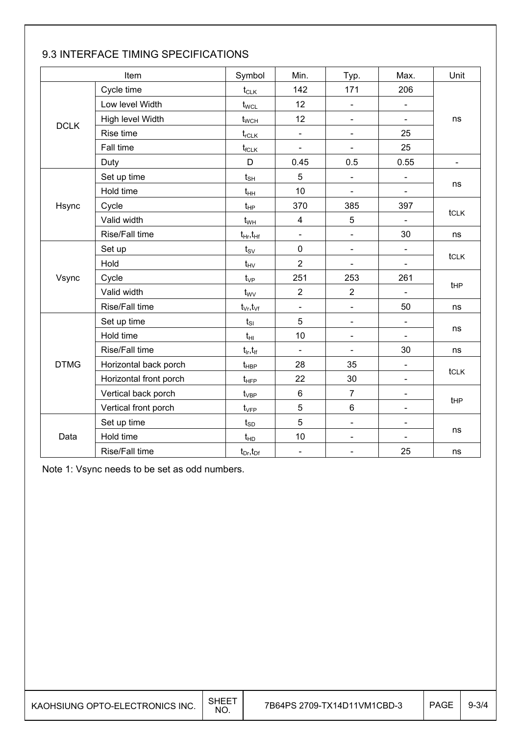|             | Item                   | Symbol                            | Min.                         | Typ.                         | Max.                         | Unit           |  |  |  |
|-------------|------------------------|-----------------------------------|------------------------------|------------------------------|------------------------------|----------------|--|--|--|
|             | Cycle time             | $t_{CLK}$                         | 142                          | 171                          | 206                          |                |  |  |  |
|             | Low level Width        | t <sub>wcL</sub>                  | 12                           | $\overline{\phantom{a}}$     |                              |                |  |  |  |
| <b>DCLK</b> | High level Width       | $t_{WCH}$                         | 12                           | $\blacksquare$               |                              | ns             |  |  |  |
|             | Rise time              | $t_{rCLK}$                        | $\overline{\phantom{a}}$     | $\blacksquare$               | 25                           |                |  |  |  |
|             | Fall time              | $t_{fCLK}$                        | $\qquad \qquad \blacksquare$ | $\blacksquare$               | 25                           |                |  |  |  |
|             | Duty                   | D                                 | 0.45                         | 0.5                          | 0.55                         | $\blacksquare$ |  |  |  |
|             | Set up time            | $t_{\text{SH}}$                   | 5                            | $\overline{\phantom{a}}$     | $\blacksquare$               |                |  |  |  |
|             | Hold time              | $t_{HH}$                          | 10                           | $\blacksquare$               | $\blacksquare$               | ns             |  |  |  |
| Hsync       | Cycle                  | $t_{HP}$                          | 370                          | 385                          | 397                          |                |  |  |  |
|             | Valid width            | $t_{WH}$                          | $\overline{\mathbf{4}}$      | $\overline{5}$               |                              | tclk           |  |  |  |
|             | Rise/Fall time         | $t_{Hr}, t_{Hf}$                  | $\blacksquare$               | $\blacksquare$               | 30                           | ns             |  |  |  |
|             | Set up                 | $t_{\scriptscriptstyle\text{SV}}$ | $\mathbf 0$                  | $\frac{1}{2}$                | $\qquad \qquad \blacksquare$ |                |  |  |  |
|             | Hold                   | $t_{\text{HV}}$                   | $\overline{2}$               | $\blacksquare$               |                              | tclk           |  |  |  |
| Vsync       | Cycle                  | $t_{VP}$                          | 251                          | 253                          | 261                          |                |  |  |  |
|             | Valid width            | $t_{\rm WV}$                      | $\overline{2}$               | $\overline{2}$               |                              | tHP            |  |  |  |
|             | Rise/Fall time         | $t_{\vee r}, t_{\vee f}$          | $\qquad \qquad \blacksquare$ | $\frac{1}{2}$                | 50                           | ns             |  |  |  |
|             | Set up time            | $t_{\scriptscriptstyle SI}$       | $\overline{5}$               | $\qquad \qquad \blacksquare$ | ÷,                           |                |  |  |  |
|             | Hold time              | $t_{HI}$                          | 10                           | $\blacksquare$               | $\blacksquare$               | ns             |  |  |  |
|             | Rise/Fall time         | $t_{ir}$ , $t_{if}$               | $\overline{\phantom{a}}$     | $\blacksquare$               | 30                           | ns             |  |  |  |
| <b>DTMG</b> | Horizontal back porch  | $t_{\sf HBP}$                     | 28                           | 35                           |                              |                |  |  |  |
|             | Horizontal front porch | $t_{HFP}$                         | 22                           | 30                           | $\blacksquare$               | tclk           |  |  |  |
|             | Vertical back porch    | $t_{\rm VBP}$                     | $\,6\,$                      | $\overline{7}$               | $\blacksquare$               |                |  |  |  |
|             | Vertical front porch   | $t_{\rm VFP}$                     | 5                            | $\,6\,$                      | ÷,                           | tHP            |  |  |  |
|             | Set up time            | $t_{\scriptscriptstyle SD}$       | 5                            | $\blacksquare$               | $\blacksquare$               |                |  |  |  |
| Data        | Hold time              | $t_{HD}$                          | 10                           | $\blacksquare$               | $\blacksquare$               | ns             |  |  |  |
|             | Rise/Fall time         | $t_{Dr}$ , $t_{Dr}$               | $\blacksquare$               | $\overline{\phantom{a}}$     | 25                           | ns             |  |  |  |

### 9.3 INTERFACE TIMING SPECIFICATIONS

Note 1: Vsync needs to be set as odd numbers.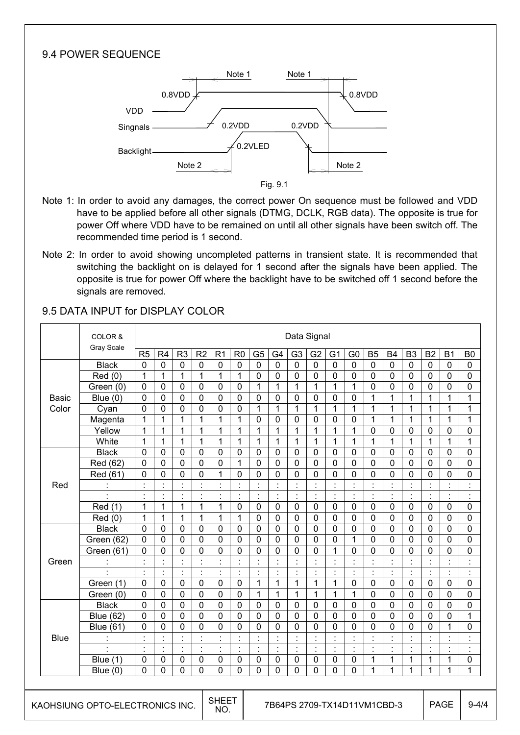### 9.4 POWER SEQUENCE



 Fig. 9.1

- Note 1: In order to avoid any damages, the correct power On sequence must be followed and VDD have to be applied before all other signals (DTMG, DCLK, RGB data). The opposite is true for power Off where VDD have to be remained on until all other signals have been switch off. The recommended time period is 1 second.
- Note 2: In order to avoid showing uncompleted patterns in transient state. It is recommended that switching the backlight on is delayed for 1 second after the signals have been applied. The opposite is true for power Off where the backlight have to be switched off 1 second before the signals are removed.

|  |                                 | COLOR &              |                                     | Data Signal    |                          |                      |                |                                            |                |                           |                      |                                |                |                      |                      |                |                         |                      |                                |                |
|--|---------------------------------|----------------------|-------------------------------------|----------------|--------------------------|----------------------|----------------|--------------------------------------------|----------------|---------------------------|----------------------|--------------------------------|----------------|----------------------|----------------------|----------------|-------------------------|----------------------|--------------------------------|----------------|
|  |                                 | Gray Scale           | R <sub>5</sub>                      | R <sub>4</sub> | R <sub>3</sub>           | R <sub>2</sub>       | R <sub>1</sub> | R <sub>0</sub>                             | G <sub>5</sub> | G4                        | G <sub>3</sub>       | G <sub>2</sub>                 | G <sub>1</sub> | G <sub>0</sub>       | <b>B5</b>            | <b>B4</b>      | B <sub>3</sub>          | <b>B2</b>            | <b>B1</b>                      | B <sub>0</sub> |
|  |                                 | <b>Black</b>         | $\mathbf 0$                         | $\mathbf{0}$   | $\mathbf 0$              | $\mathbf 0$          | 0              | $\mathbf 0$                                | 0              | $\mathbf 0$               | $\mathbf 0$          | $\mathbf 0$                    | 0              | $\mathbf 0$          | $\mathbf 0$          | $\mathbf 0$    | $\mathbf 0$             | $\mathbf{0}$         | 0                              | $\mathbf{0}$   |
|  |                                 | Red(0)               | $\mathbf{1}$                        | $\mathbf{1}$   | 1                        | 1                    | 1              | $\mathbf{1}$                               | $\mathbf 0$    | $\mathbf 0$               | $\mathbf 0$          | 0                              | 0              | $\mathbf 0$          | $\mathbf 0$          | $\mathbf 0$    | 0                       | $\mathbf 0$          | 0                              | 0              |
|  |                                 | Green (0)            | 0                                   | $\mathbf 0$    | 0                        | 0                    | $\mathbf 0$    | $\mathbf 0$                                | $\mathbf{1}$   | 1                         | 1                    | 1                              | $\mathbf{1}$   | $\mathbf{1}$         | $\mathbf 0$          | 0              | 0                       | 0                    | 0                              | 0              |
|  | <b>Basic</b>                    | Blue $(0)$           | 0                                   | $\mathbf 0$    | 0                        | $\mathbf 0$          | 0              | 0                                          | 0              | 0                         | $\mathbf{0}$         | 0                              | $\mathbf 0$    | 0                    | 1                    | 1              | 1                       | 1                    | 1                              | 1              |
|  | Color                           | Cyan                 | $\overline{0}$                      | $\overline{0}$ | 0                        | $\overline{0}$       | $\overline{0}$ | 0                                          | $\mathbf{1}$   | $\mathbf{1}$              | $\mathbf{1}$         | $\mathbf{1}$                   | $\mathbf{1}$   | $\overline{1}$       | 1                    | 1              | $\mathbf{1}$            | 1                    | 1                              | 1              |
|  |                                 | Magenta              | $\mathbf{1}$                        | 1              | 1                        | 1                    | 1              | 1                                          | $\Omega$       | $\mathbf 0$               | $\mathbf{0}$         | $\mathbf 0$                    | $\Omega$       | $\Omega$             | $\mathbf{1}$         | 1              | 1                       | 1                    | 1                              | 1              |
|  |                                 | Yellow               | $\overline{1}$                      | $\mathbf{1}$   | $\overline{1}$           | 1                    | 1              | $\mathbf 1$                                | $\mathbf{1}$   | $\mathbf{1}$              | $\mathbf{1}$         | $\overline{1}$                 | $\overline{1}$ | $\overline{1}$       | 0                    | $\Omega$       | 0                       | 0                    | 0                              | $\overline{0}$ |
|  |                                 | White                | $\mathbf 1$                         | 1              | 1                        | 1                    | 1              | 1                                          | $\mathbf{1}$   | $\mathbf{1}$              | $\mathbf{1}$         | $\mathbf{1}$                   | $\mathbf{1}$   | 1                    | 1                    | 1              | $\mathbf{1}$            | 1                    | $\mathbf{1}$                   | 1              |
|  |                                 | <b>Black</b>         | 0                                   | $\mathbf 0$    | 0                        | $\mathbf 0$          | 0              | $\mathbf 0$                                | 0              | 0                         | $\mathbf 0$          | $\mathbf{0}$                   | $\mathbf 0$    | $\mathbf{0}$         | $\mathbf 0$          | $\mathbf 0$    | 0                       | $\mathbf 0$          | 0                              | 0              |
|  |                                 | Red (62)             | 0                                   | $\mathbf 0$    | 0                        | $\mathbf{0}$         | 0              | 1                                          | 0              | $\mathbf 0$               | $\mathbf 0$          | 0                              | 0              | 0                    | 0                    | 0              | 0                       | $\mathbf 0$          | 0                              | 0              |
|  |                                 | Red (61)             | 0                                   | $\mathbf 0$    | 0                        | $\mathbf{0}$         | 1              | 0                                          | 0              | 0                         | $\mathbf 0$          | 0                              | 0              | 0                    | 0                    | 0              | 0                       | 0                    | 0                              | 0              |
|  | Red                             | $\ddot{\phantom{a}}$ | $\cdot$                             |                | $\overline{\phantom{a}}$ | $\ddot{\phantom{a}}$ | $\cdot$        | Ì.                                         | $\ddot{\cdot}$ | $\ddot{\cdot}$            | $\blacksquare$       | $\blacksquare$                 | $\cdot$        | $\ddot{\phantom{a}}$ | $\ddot{\phantom{0}}$ | ÷              | ċ,                      | $\ddot{\cdot}$       | $\blacksquare$                 |                |
|  |                                 | ÷                    | $\cdot$<br>$\overline{\phantom{a}}$ | $\ddot{\cdot}$ | $\ddot{\cdot}$           | $\blacksquare$       | $\ddot{\cdot}$ | ł.                                         | $\ddot{\cdot}$ | $\ddot{\phantom{a}}$      | $\ddot{\phantom{a}}$ | $\ddot{\cdot}$                 | $\ddot{\cdot}$ | $\ddot{\cdot}$       | $\ddot{\cdot}$       | $\ddot{\cdot}$ | $\ddot{\phantom{a}}$    | $\ddot{\phantom{a}}$ | $\blacksquare$                 | $\blacksquare$ |
|  |                                 | Red (1)              | 1                                   | $\mathbf{1}$   | 1                        | 1                    | $\mathbf{1}$   | $\mathbf 0$                                | 0              | $\mathbf 0$               | $\mathbf 0$          | $\mathbf 0$                    | 0              | $\mathbf 0$          | $\mathbf 0$          | $\mathbf 0$    | $\mathbf 0$             | $\mathbf 0$          | 0                              | 0              |
|  |                                 | Red (0)              | 1                                   | 1              | $\mathbf{1}$             | 1                    | 1              | 1                                          | 0              | $\mathbf 0$               | $\mathbf 0$          | $\mathbf 0$                    | $\mathbf 0$    | $\mathbf 0$          | $\mathbf 0$          | $\mathbf 0$    | 0                       | $\mathbf 0$          | 0                              | 0              |
|  |                                 | <b>Black</b>         | 0                                   | $\mathbf 0$    | 0                        | $\mathbf 0$          | $\mathbf 0$    | $\mathbf 0$                                | 0              | $\mathbf 0$               | $\mathbf 0$          | $\mathbf 0$                    | $\mathbf 0$    | $\overline{0}$       | $\mathbf 0$          | $\mathbf 0$    | $\mathbf 0$             | $\mathbf 0$          | $\overline{0}$                 | $\overline{0}$ |
|  |                                 | Green (62)           | $\mathbf 0$                         | $\mathbf{0}$   | 0                        | $\mathbf 0$          | 0              | $\mathbf 0$                                | 0              | $\mathbf 0$               | $\mathbf 0$          | $\mathbf 0$                    | 0              | $\mathbf{1}$         | $\mathbf 0$          | $\mathbf 0$    | $\mathbf 0$             | $\mathbf 0$          | 0                              | 0              |
|  |                                 | Green (61)           | $\mathbf 0$                         | $\mathbf 0$    | 0                        | $\mathbf 0$          | 0              | 0                                          | 0              | 0                         | $\mathbf 0$          | 0                              | $\mathbf{1}$   | $\mathbf 0$          | $\mathbf 0$          | $\mathbf 0$    | 0                       | 0                    | 0                              | $\mathbf 0$    |
|  | Green                           | $\blacksquare$       | $\cdot$                             | $\blacksquare$ | $\blacksquare$           | $\blacksquare$       | $\cdot$        | $\blacksquare$                             | $\blacksquare$ | $\blacksquare$            | $\cdot$              | $\blacksquare$                 | $\cdot$        | $\cdot$              | $\blacksquare$       | $\blacksquare$ | $\blacksquare$          | $\blacksquare$       | $\blacksquare$                 |                |
|  |                                 |                      | $\blacksquare$<br>$\cdot$           | $\cdot$        | ċ                        |                      |                |                                            |                | $\blacksquare$<br>$\cdot$ |                      | $\blacksquare$<br>$\mathbf{r}$ |                | $\cdot$              |                      |                | $\cdot$<br>$\mathbf{r}$ | $\blacksquare$       | $\blacksquare$<br>$\mathbf{r}$ |                |
|  |                                 | Green (1)            | 0                                   | $\mathbf 0$    | 0                        | $\mathbf{0}$         | $\mathbf 0$    | $\mathbf 0$                                | $\mathbf{1}$   | $\mathbf{1}$              | $\mathbf{1}$         | $\mathbf{1}$                   | $\mathbf{1}$   | 0                    | $\mathbf 0$          | $\mathbf 0$    | 0                       | $\mathbf{0}$         | 0                              | 0              |
|  |                                 | Green (0)            | 0                                   | $\mathbf 0$    | 0                        | $\mathbf{0}$         | 0              | $\mathbf 0$                                | $\mathbf{1}$   | 1                         | 1                    | 1                              | 1              | 1                    | 0                    | $\mathbf 0$    | 0                       | $\mathbf{0}$         | 0                              | 0              |
|  |                                 | <b>Black</b>         | $\mathbf 0$                         | 0              | 0                        | $\mathbf 0$          | 0              | $\mathbf 0$                                | 0              | 0                         | $\mathbf{0}$         | 0                              | 0              | $\mathbf 0$          | $\mathbf 0$          | $\mathbf 0$    | 0                       | $\mathbf 0$          | 0                              | 0              |
|  |                                 | <b>Blue (62)</b>     | $\mathbf 0$                         | $\mathbf 0$    | 0                        | $\mathbf 0$          | $\mathbf 0$    | 0                                          | 0              | 0                         | $\mathbf 0$          | $\mathbf 0$                    | 0              | $\mathbf 0$          | 0                    | $\mathbf 0$    | 0                       | $\mathbf 0$          | 0                              | 1              |
|  |                                 | <b>Blue (61)</b>     | 0                                   | $\mathbf 0$    | 0                        | $\mathbf 0$          | 0              | 0                                          | 0              | 0                         | $\mathbf 0$          | 0                              | $\mathbf 0$    | 0                    | 0                    | 0              | 0                       | 0                    | $\mathbf{1}$                   | 0              |
|  | <b>Blue</b>                     | ÷                    | $\cdot$<br>÷.                       | ċ              | ÷                        | $\blacksquare$       | $\blacksquare$ | ÷.                                         | ÷              | $\ddot{\cdot}$            | ċ                    | ÷                              | $\cdot$        | $\ddot{\cdot}$       | $\cdot$              | $\blacksquare$ | ł.                      | ÷                    | ÷                              | $\blacksquare$ |
|  |                                 | $\mathbb{Z}^2$       | $\ddot{\cdot}$                      | $\ddot{\cdot}$ | $\ddot{\cdot}$           | $\blacksquare$       | ł.             | ÷,                                         | ł.             | $\ddot{\cdot}$            | $\blacksquare$       | ÷                              | $\cdot$        | $\blacksquare$       | $\blacksquare$       | ÷,             | ł.                      | $\blacksquare$       | $\ddot{\cdot}$                 | $\blacksquare$ |
|  |                                 | Blue $(1)$           | $\mathbf 0$                         | $\mathbf{0}$   | 0                        | $\mathbf 0$          | $\mathbf 0$    | $\mathbf 0$                                | 0              | $\mathbf 0$               | $\mathbf 0$          | $\mathbf 0$                    | $\mathbf 0$    | $\mathbf 0$          | 1                    | 1              | 1                       | 1                    | 1                              | 0              |
|  |                                 | Blue $(0)$           | 0                                   | $\overline{0}$ | 0                        | $\mathbf 0$          | $\overline{0}$ | 0                                          | $\overline{0}$ | $\overline{0}$            | $\overline{0}$       | 0                              | $\overline{0}$ | 0                    | 1                    | 1              | 1                       | 1                    | 1                              | 1              |
|  |                                 |                      |                                     |                |                          |                      |                |                                            |                |                           |                      |                                |                |                      |                      |                |                         |                      |                                |                |
|  | KAOHSIUNG OPTO-ELECTRONICS INC. |                      |                                     |                |                          | <b>SHEET</b><br>NO.  |                | <b>PAGE</b><br>7B64PS 2709-TX14D11VM1CBD-3 |                |                           |                      |                                |                |                      | $9 - 4/4$            |                |                         |                      |                                |                |

#### 9.5 DATA INPUT for DISPLAY COLOR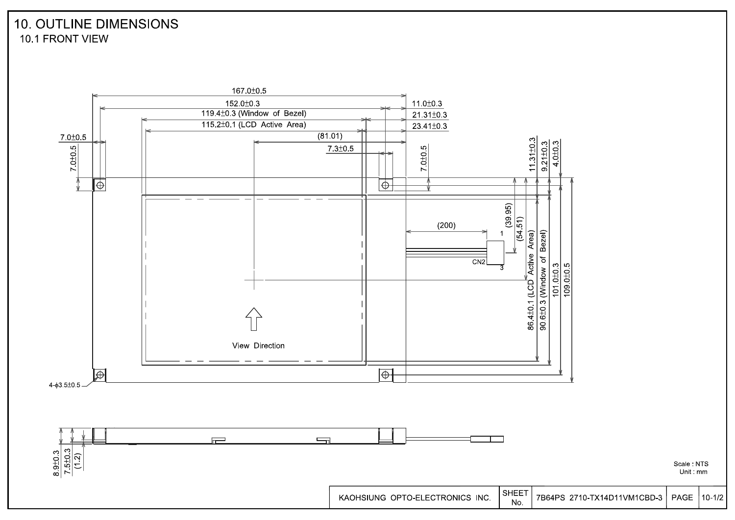## **10. OUTLINE DIMENSIONS** 10.1 FRONT VIEW



Scale: NTS Unit mm

 $10 - 1/2$ 

PAGE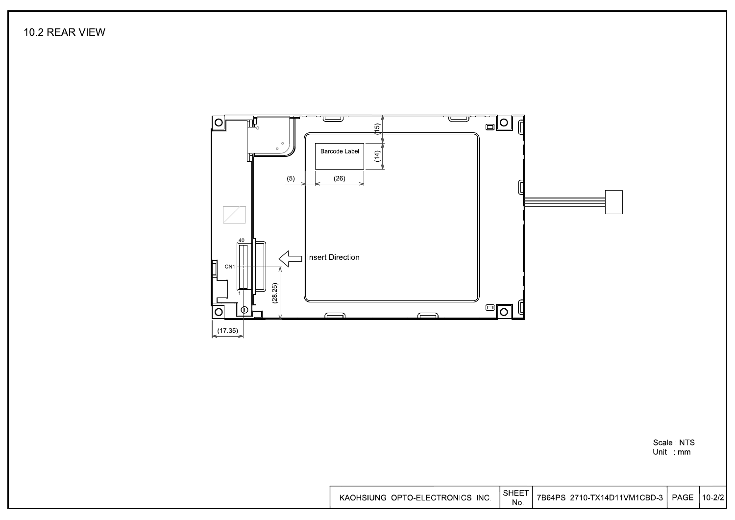10.2 REAR VIEW



Scale NTS<br>Unit mm

| KAOHSIUNG OPTO-ELECTRONICS INC. | ' SHEET | 7B64PS 2710-TX14D11VM1CBD-3   PAGE   10-2/2 |  |  |
|---------------------------------|---------|---------------------------------------------|--|--|
|---------------------------------|---------|---------------------------------------------|--|--|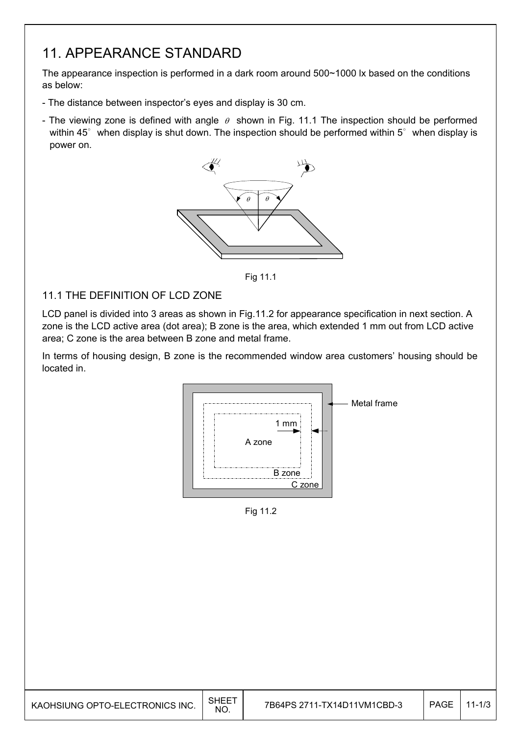## 11. APPEARANCE STANDARD

The appearance inspection is performed in a dark room around 500~1000 lx based on the conditions as below:

- The distance between inspector's eyes and display is 30 cm.
- The viewing zone is defined with angle  $\theta$  shown in Fig. 11.1 The inspection should be performed within 45 $^{\circ}$  when display is shut down. The inspection should be performed within 5 $^{\circ}$  when display is power on.



Fig. 11.1 Fig 11.1

### 11.1 THE DEFINITION OF LCD ZONE

LCD panel is divided into 3 areas as shown in Fig.11.2 for appearance specification in next section. A zone is the LCD active area (dot area); B zone is the area, which extended 1 mm out from LCD active area; C zone is the area between B zone and metal frame.

In terms of housing design, B zone is the recommended window area customers' housing should be located in.



Fig. 11.2 Fig 11.2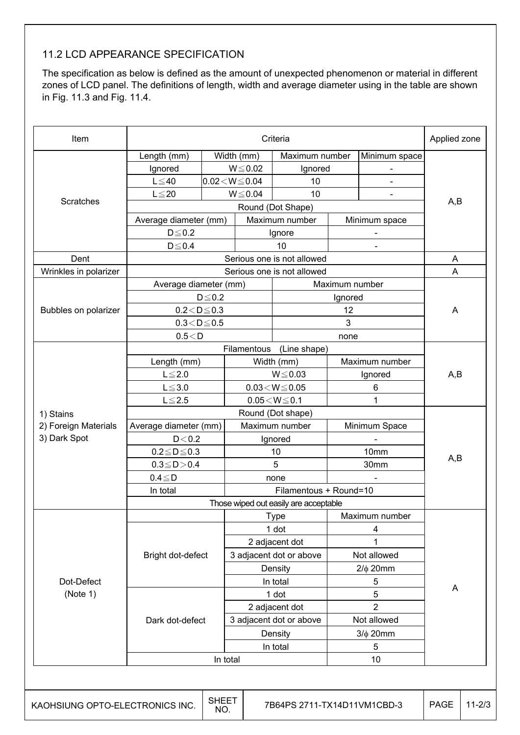### 11.2 LCD APPEARANCE SPECIFICATION

The specification as below is defined as the amount of unexpected phenomenon or material in different zones of LCD panel. The definitions of length, width and average diameter using in the table are shown in Fig. 11.3 and Fig. 11.4.

| Scratches<br>Dent<br>Wrinkles in polarizer<br>Bubbles on polarizer | Length (mm)<br>Ignored<br>$L \leq 40$<br>$L \leq 20$<br>Average diameter (mm)<br>$D \le 0.2$<br>$D \le 0.4$<br>Average diameter (mm) | $0.02\!<\!W\!\leq\!0.04$ | Width (mm)<br>$W \le 0.02$<br>$W \le 0.04$               | Maximum number<br>Ignored<br>10<br>10<br>Maximum number |                | Minimum space<br>$\blacksquare$ |             |  |  |  |
|--------------------------------------------------------------------|--------------------------------------------------------------------------------------------------------------------------------------|--------------------------|----------------------------------------------------------|---------------------------------------------------------|----------------|---------------------------------|-------------|--|--|--|
|                                                                    |                                                                                                                                      |                          |                                                          |                                                         |                |                                 |             |  |  |  |
|                                                                    |                                                                                                                                      |                          |                                                          |                                                         |                |                                 |             |  |  |  |
|                                                                    |                                                                                                                                      |                          |                                                          |                                                         |                |                                 |             |  |  |  |
|                                                                    |                                                                                                                                      |                          |                                                          |                                                         |                |                                 | A,B         |  |  |  |
|                                                                    |                                                                                                                                      |                          |                                                          |                                                         |                | Round (Dot Shape)               |             |  |  |  |
|                                                                    |                                                                                                                                      |                          |                                                          |                                                         | Minimum space  |                                 |             |  |  |  |
|                                                                    |                                                                                                                                      |                          |                                                          | Ignore                                                  |                |                                 |             |  |  |  |
|                                                                    |                                                                                                                                      |                          |                                                          | 10                                                      |                |                                 |             |  |  |  |
|                                                                    |                                                                                                                                      |                          |                                                          | Serious one is not allowed                              |                |                                 | A           |  |  |  |
|                                                                    |                                                                                                                                      |                          |                                                          | Serious one is not allowed                              |                |                                 | A           |  |  |  |
|                                                                    |                                                                                                                                      |                          |                                                          |                                                         | Maximum number |                                 |             |  |  |  |
|                                                                    |                                                                                                                                      | $D \le 0.2$              |                                                          |                                                         | Ignored        |                                 |             |  |  |  |
|                                                                    | $0.2 < D \le 0.3$                                                                                                                    |                          |                                                          |                                                         | 12             |                                 | A           |  |  |  |
|                                                                    | $0.3\!<\!D\!\leq\!0.5$                                                                                                               |                          |                                                          |                                                         | 3              |                                 |             |  |  |  |
|                                                                    | 0.5 < D                                                                                                                              |                          |                                                          |                                                         | none           |                                 |             |  |  |  |
|                                                                    |                                                                                                                                      |                          | Filamentous                                              | (Line shape)                                            |                |                                 |             |  |  |  |
|                                                                    | Length (mm)                                                                                                                          |                          |                                                          | Width (mm)                                              |                | Maximum number                  |             |  |  |  |
|                                                                    | $L \leq 2.0$                                                                                                                         |                          | $W \le 0.03$<br>Ignored<br>$0.03\!<\!W\!\leq\!0.05$<br>6 |                                                         |                | A,B                             |             |  |  |  |
|                                                                    | $L \le 3.0$                                                                                                                          |                          |                                                          |                                                         |                |                                 |             |  |  |  |
|                                                                    | $L \leq 2.5$                                                                                                                         |                          | $0.05\!<\!W\!\leq\!0.1$<br>1                             |                                                         |                |                                 |             |  |  |  |
| 1) Stains                                                          | Round (Dot shape)                                                                                                                    |                          |                                                          |                                                         |                |                                 |             |  |  |  |
| 2) Foreign Materials                                               | Average diameter (mm)                                                                                                                |                          | Maximum number                                           |                                                         | Minimum Space  |                                 |             |  |  |  |
| 3) Dark Spot                                                       | D < 0.2                                                                                                                              |                          |                                                          | Ignored                                                 |                |                                 |             |  |  |  |
|                                                                    | $0.2 \leq D \leq 0.3$                                                                                                                |                          |                                                          | 10                                                      | 10mm           |                                 |             |  |  |  |
|                                                                    | $0.3 \le D > 0.4$                                                                                                                    |                          |                                                          | 5                                                       |                | 30mm                            | A,B         |  |  |  |
|                                                                    | $0.4 \leq D$                                                                                                                         |                          | none                                                     |                                                         |                |                                 |             |  |  |  |
|                                                                    | In total                                                                                                                             |                          | Filamentous + Round=10                                   |                                                         |                |                                 |             |  |  |  |
|                                                                    | Those wiped out easily are acceptable                                                                                                |                          |                                                          |                                                         |                |                                 |             |  |  |  |
|                                                                    |                                                                                                                                      |                          |                                                          | Type                                                    |                | Maximum number                  |             |  |  |  |
|                                                                    | Bright dot-defect                                                                                                                    |                          | 1 dot                                                    |                                                         |                | 4                               |             |  |  |  |
|                                                                    |                                                                                                                                      |                          | 2 adjacent dot                                           |                                                         |                | 1                               |             |  |  |  |
|                                                                    |                                                                                                                                      |                          | 3 adjacent dot or above                                  |                                                         |                | Not allowed                     |             |  |  |  |
|                                                                    |                                                                                                                                      |                          | Density                                                  |                                                         |                | $2/\phi$ 20mm                   |             |  |  |  |
| Dot-Defect                                                         |                                                                                                                                      |                          | In total                                                 |                                                         |                | 5                               |             |  |  |  |
| (Note 1)                                                           | Dark dot-defect                                                                                                                      |                          |                                                          | 5<br>1 dot                                              |                |                                 | A           |  |  |  |
|                                                                    |                                                                                                                                      |                          | 2 adjacent dot                                           |                                                         |                | $\overline{2}$                  |             |  |  |  |
|                                                                    |                                                                                                                                      |                          | 3 adjacent dot or above                                  |                                                         |                | Not allowed                     |             |  |  |  |
|                                                                    |                                                                                                                                      |                          |                                                          | Density                                                 |                | $3/\phi$ 20mm                   |             |  |  |  |
|                                                                    |                                                                                                                                      |                          |                                                          | In total                                                |                | 5                               |             |  |  |  |
|                                                                    |                                                                                                                                      |                          | In total                                                 |                                                         |                | 10                              |             |  |  |  |
|                                                                    |                                                                                                                                      |                          |                                                          |                                                         |                |                                 |             |  |  |  |
| KAOHSIUNG OPTO-ELECTRONICS INC.                                    |                                                                                                                                      | <b>SHEET</b>             |                                                          | 7B64PS 2711-TX14D11VM1CBD-3                             |                |                                 | <b>PAGE</b> |  |  |  |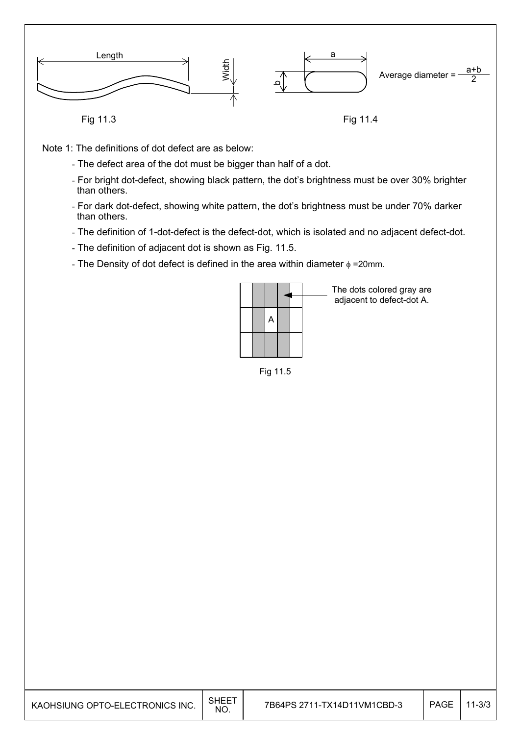

- Note 1: The definitions of dot defect are as below:
	- The defect area of the dot must be bigger than half of a dot.
	- For bright dot-defect, showing black pattern, the dot's brightness must be over 30% brighter than others.
	- For dark dot-defect, showing white pattern, the dot's brightness must be under 70% darker than others.
	- The definition of 1-dot-defect is the defect-dot, which is isolated and no adjacent defect-dot.
	- The definition of adjacent dot is shown as Fig. 11.5.
	- The Density of dot defect is defined in the area within diameter  $\phi$  =20mm.



The dots colored gray are adjacent to defect-dot A.

Fig 11.5

| KAOHSIUNG OPTO-ELECTRONICS INC. | SHEE <sup>-</sup><br><b>NO</b> | 7B64PS 2711-TX14D11VM1CBD-3 | <b>PAGE</b> | $11 - 3/3$ |
|---------------------------------|--------------------------------|-----------------------------|-------------|------------|
|---------------------------------|--------------------------------|-----------------------------|-------------|------------|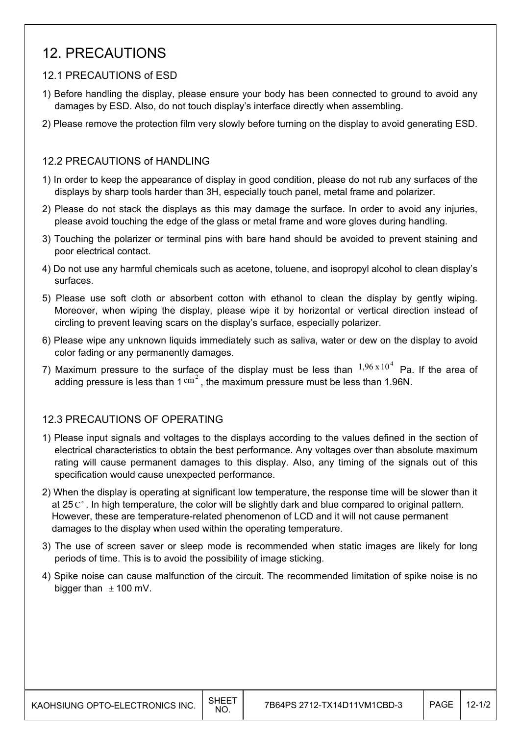## 12. PRECAUTIONS

### 12.1 PRECAUTIONS of ESD

- 1) Before handling the display, please ensure your body has been connected to ground to avoid any damages by ESD. Also, do not touch display's interface directly when assembling.
- 2) Please remove the protection film very slowly before turning on the display to avoid generating ESD.

#### 12.2 PRECAUTIONS of HANDLING

- 1) In order to keep the appearance of display in good condition, please do not rub any surfaces of the displays by sharp tools harder than 3H, especially touch panel, metal frame and polarizer.
- 2) Please do not stack the displays as this may damage the surface. In order to avoid any injuries, please avoid touching the edge of the glass or metal frame and wore gloves during handling.
- 3) Touching the polarizer or terminal pins with bare hand should be avoided to prevent staining and poor electrical contact.
- 4) Do not use any harmful chemicals such as acetone, toluene, and isopropyl alcohol to clean display's surfaces.
- 5) Please use soft cloth or absorbent cotton with ethanol to clean the display by gently wiping. Moreover, when wiping the display, please wipe it by horizontal or vertical direction instead of circling to prevent leaving scars on the display's surface, especially polarizer.
- 6) Please wipe any unknown liquids immediately such as saliva, water or dew on the display to avoid color fading or any permanently damages.
- 7) Maximum pressure to the surface of the display must be less than  $1,96 \times 10^4$  Pa. If the area of adding pressure is less than  $1 \text{ cm}^2$ , the maximum pressure must be less than 1.96N.

### 12.3 PRECAUTIONS OF OPERATING

- 1) Please input signals and voltages to the displays according to the values defined in the section of electrical characteristics to obtain the best performance. Any voltages over than absolute maximum rating will cause permanent damages to this display. Also, any timing of the signals out of this specification would cause unexpected performance.
- 2) When the display is operating at significant low temperature, the response time will be slower than it at 25  $\mathrm{C}^{\circ}$ . In high temperature, the color will be slightly dark and blue compared to original pattern. However, these are temperature-related phenomenon of LCD and it will not cause permanent damages to the display when used within the operating temperature.
- 3) The use of screen saver or sleep mode is recommended when static images are likely for long periods of time. This is to avoid the possibility of image sticking.
- 4) Spike noise can cause malfunction of the circuit. The recommended limitation of spike noise is no bigger than  $\pm$  100 mV.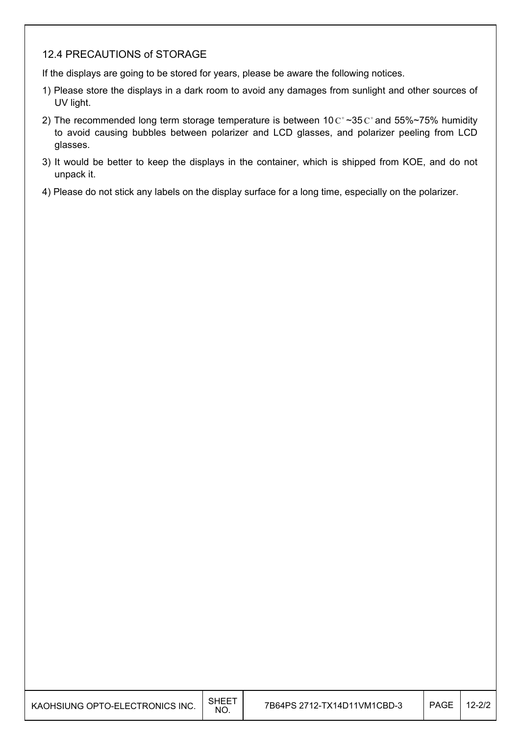### 12.4 PRECAUTIONS of STORAGE

If the displays are going to be stored for years, please be aware the following notices.

- 1) Please store the displays in a dark room to avoid any damages from sunlight and other sources of UV light.
- 2) The recommended long term storage temperature is between 10  $C^{\circ}$  ~35  $C^{\circ}$  and 55%~75% humidity to avoid causing bubbles between polarizer and LCD glasses, and polarizer peeling from LCD glasses.
- 3) It would be better to keep the displays in the container, which is shipped from KOE, and do not unpack it.
- 4) Please do not stick any labels on the display surface for a long time, especially on the polarizer.